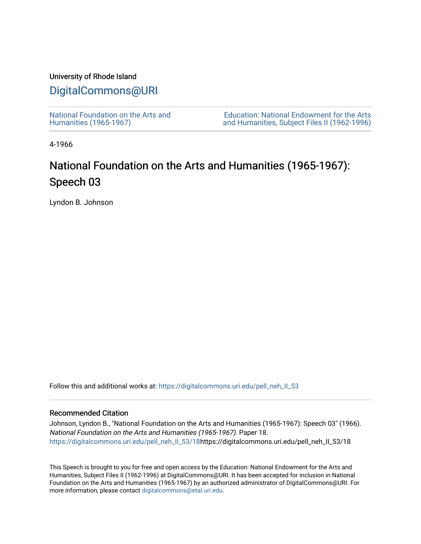### University of Rhode Island

## [DigitalCommons@URI](https://digitalcommons.uri.edu/)

[National Foundation on the Arts and](https://digitalcommons.uri.edu/pell_neh_II_53) [Humanities \(1965-1967\)](https://digitalcommons.uri.edu/pell_neh_II_53) 

[Education: National Endowment for the Arts](https://digitalcommons.uri.edu/pell_neh_II)  [and Humanities, Subject Files II \(1962-1996\)](https://digitalcommons.uri.edu/pell_neh_II) 

4-1966

# National Foundation on the Arts and Humanities (1965-1967): Speech 03

Lyndon B. Johnson

Follow this and additional works at: [https://digitalcommons.uri.edu/pell\\_neh\\_II\\_53](https://digitalcommons.uri.edu/pell_neh_II_53?utm_source=digitalcommons.uri.edu%2Fpell_neh_II_53%2F18&utm_medium=PDF&utm_campaign=PDFCoverPages) 

#### Recommended Citation

Johnson, Lyndon B., "National Foundation on the Arts and Humanities (1965-1967): Speech 03" (1966). National Foundation on the Arts and Humanities (1965-1967). Paper 18. [https://digitalcommons.uri.edu/pell\\_neh\\_II\\_53/18](https://digitalcommons.uri.edu/pell_neh_II_53/18?utm_source=digitalcommons.uri.edu%2Fpell_neh_II_53%2F18&utm_medium=PDF&utm_campaign=PDFCoverPages)https://digitalcommons.uri.edu/pell\_neh\_II\_53/18

This Speech is brought to you for free and open access by the Education: National Endowment for the Arts and Humanities, Subject Files II (1962-1996) at DigitalCommons@URI. It has been accepted for inclusion in National Foundation on the Arts and Humanities (1965-1967) by an authorized administrator of DigitalCommons@URI. For more information, please contact [digitalcommons@etal.uri.edu.](mailto:digitalcommons@etal.uri.edu)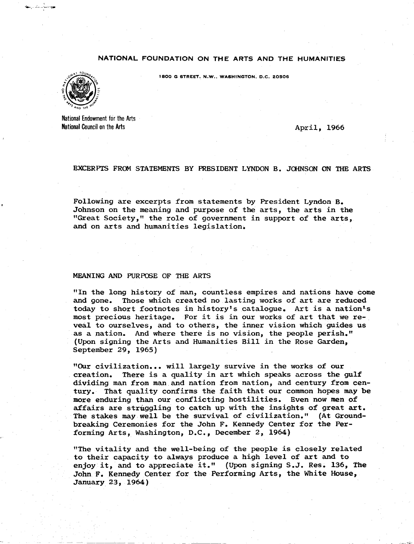#### NATIONAL FOUNDATION ON THE ARTS AND THE HUMANITIES



...... *. :: \_\_\_ -•.,... ..* :\_,.~

1800 G STREET, N,W., WASHINGTON, D.C, 20506

National Endowment for the Arts National Council on the Arts

April, 1966

#### EXCERPTS FROM STATEMENTS BY PRESIDENT LYNDON B. JOHNSON ON THE ARTS

Following are excerpts from statements by President Lyndon B. Johnson on the meaning and purpose of the arts, the arts in the "Great Society," the role of government in support of the arts, and on arts and humanities legislation.

#### MEANING AND PURPOSE OF THE ARTS

"In the long history of man, countless empires and nations have come and gone. Those which created no lasting works of art are reduced today to short footnotes in history's catalogue. Art is a nation'·s most precious heritage. For it is in our works of art that we reveal to ourselves, and to others, the inner vision which guides us as a nation. And where there is no vision, the people perish." (Upon signing the Arts and Humanities Bill in the Rose Garden, September 29, 1965)

"Our civilization... will largely survive in the works of our creation. There is a quality in art which speaks across the gulf dividing man from man and nation from nation, and century from century. That quality confirms the faith that our common hopes may be more enduring than our conflicting hostilities. Even now men of affairs are struggling to catch up with the insights of great art. The stakes may well be the survival of civilization." (At Groundbreaking Ceremonies for the John F. Kennedy Center for the Performing Arts, Washington, D.C., December 2, 1964)

"The vitality and the well-being of the people is closely related to their capacity to always produce a high level of art and to enjoy it, and to appreciate it." (Upon signing S.J. Res. 136, The John F. Kennedy Center for the Performing Arts, the White House, January 23, 1964)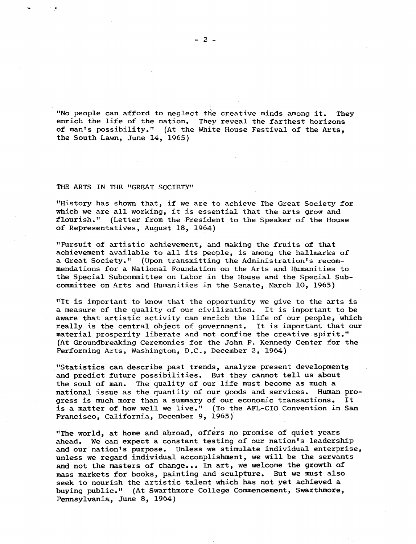"No people can afford to neglect the creative minds among it. They enrich the life of the nation. They reveal the farthest horizons of man's possibility." (At the White House Festival of the Arts, the South Lawn, June 14, 1965)

I

#### THE ARTS IN THE "GREAT SOCIETY"

"History has shown that, if we are to achieve The Great Society for which we are all working, it is essential that the arts grow and flourish." (Letter from the President to the Speaker of the House of Representatives, August 18, 1964)

"Pursuit of artistic achievement, and making the fruits of that achievement available to all its people, is among the hallmarks of a Great Society." (Upon transmitting the Administration's recommendations for a National Foundation on the Arts and Humanities to the Special Subcommittee on Labor in the House and the Special Subcommittee on Arts and Humanities in the Senate, March 10, 1965)

"It is important to know that the opportunity we give to the arts is a measure of the quality of our civilization. It is important to be aware that artistic activity can enrich the life of our people, which really is the central object of government. It is important that our material prosperity liberate and not confine the creative spirit." (At Groundbreaking Ceremonies for the John F. Kennedy Center for the Performing Arts, Washington, D.c., December 2, 1964)

"Statistics can describe past trends, analyze present developments and predict future possibilities. But they cannot tell us about the soul of man. The quality of our life must become as much a national issue as the quantity of our goods and services. Human progress is much more than a summary of our economic transactions. It is a matter of how well we live." (To the AFL-CIO Convention in San Francisco, California, December 9, 1965)

"The world, at home and abroad, offers no promise of quiet years ahead. We can expect a constant testing of our nation's leadership and our nation's purpose. Unless we stimulate individual enterprise, unless we regard individual accomplishment, we will be the servants and not the masters of change... In art, we welcome the growth of mass markets for books, painting and sculpture. But we must also seek to nourish the artistic talent which has not yet achieved a buying public." {At Swarthmore College Commencement, Swarthmore, Pennsylvania, June *B,* 1964)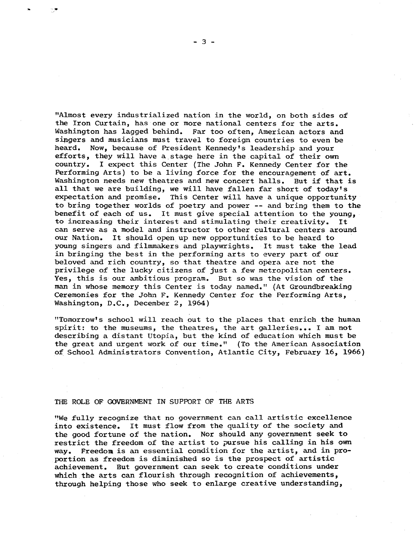"Almost every industrialized nation in the world, on both sides of the Iron Curtain, has one or more national centers for the arts. Washington has lagged behind. Far too often, American actors and sipgers and musicians must travel to foreign countries to even be heard. Now, because of President Kennedy's leadership and your efforts, they will have a.stage here in the capital of their own country. I expect this Center (The John F. Kennedy Center for the Performing Arts) to be a living force for the encouragement of art. Washington needs new theatres and new concert halls. But if that is all that we are building, we will have fallen far short of today's expectation and promise. This Center will have a unique opportunity to bring together worlds of poetry and power -- and bring them to the benefit of each of us. It must give special attention to the young, to increasing their interest and stimulating their creativity. It can serve as a model and instructor to other cultural centers around our Nation. It should open up new opportunities to be heard to young singers and filmmakers and playwrights. It must take the lead in bringing the best in the performing arts to every part of our beloved and rich country, so that theatre and opera are not the privilege of the lucky citizens of just a few metropolitan centers. Yes, this is our ambitious program. But so was the vision of the man in whose memory this Center is today named." (At Groundbreaking Ceremonies for the John F. Kennedy Center for the Performing Arts, Washington, D.C., December 2, 1964)

"Tomorrow's school will reach out to the places that enrich the human spirit: to the museums, the theatres, the art galleries... I am not describing a distant Utopia, but the kind of education which must be the great and urgent work of our time." (To the American Association of School Administrators Convention, Atlantic City, February 16, 1966)

#### THE ROLE OF GOVERNMENT IN SUPPORT OF THE ARTS

"We fully recognize that no government can call artistic excellence into existence. It must flow from the quality of the society and the good fortune of the nation. Nor should any government seek to restrict the freedom of the artist to pursue his calling in his own way. Freedom is an essential condition for the artist, and in proportion as freedom is diminished so is the prospect of artistic achievement. But government can seek to create conditions under which the arts can flourish through recognition of achievements, through helping those who seek to enlarge creative understanding,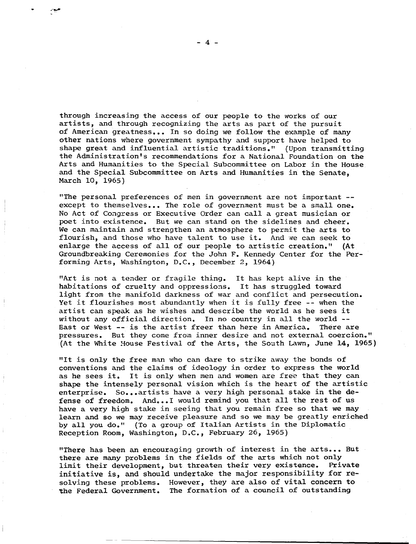through increasing the access of our people to the works of our artists, and through recognizing the arts as part of the pursuit of American greatness ••• In so doing we follow the example of many other nations where government sympathy and support have helped to shape great and influential artistic traditions." {Upon transmitting the Administration's recommendations for a National Foundation on the Arts and Humanities to the Special Subcommittee on Labor in the House and the Special Subcommittee on Arts and Humanities in the Senate, March 10, 1965)

"The personal preferences of men in government are not important - except to themselves... The role of government must be a small one. No Act of Congress or Executive Order can call a great musician or poet into existence. But we can stand on the sidelines and cheer. We can maintain and strengthen an atmosphere to permit the arts to flourish, and those who have talent to use it. And we can seek to enlarge the access of all of our people to artistic creation." (At Groundbreaking Ceremonies for the John F. Kennedy Center for the Performing Arts, Washington, D.C., December 2, 1964)

"Art is not a tender or fragile thing. It has kept alive in the habitations of cruelty and oppressions. It has struggled toward light from the manifold darkness of war and conflict and persecution. Yet it flourishes most abundantly when it is fully free -- when the artist can speak as he wishes and describe the world as he sees it without any official direction. In no country in all the world --<br>East or West -- is the artist freer than here in America. There are East or West -- is the artist freer than here in America. pressures. But they come from inner desire and not external coercion." (At the White House Festival of the Arts, the South Lawn, June 14, 1965)

"It is only the free man who can dare to strike away the bonds of conventions and the claims of ideology in order to express the world as he sees it. It is only when men and women are free that they can shape the intensely personal vision which is the heart of the artistic enterprise. So...artists have a very high personal stake in the defense of freedom. And...I would remind you that all the rest of us have a very high stake in seeing that you remain free so that we may learn and so we may receive pleasure and so we may be greatly enriched by all you do." (To a group of Italian Artists in the Diplomatic Reception Room, Washington, D.c., February 26, 1965)

"There has been an encouraging growth of interest in the arts... But there are many problems in the fields of the arts which not only limit their development, but threaten their very existence. Private initiative is, and should undertake the major responsibility for resolving these problems. However, they are also of vital concern to the Federal Government. The formation of a council of outstanding

- 4 -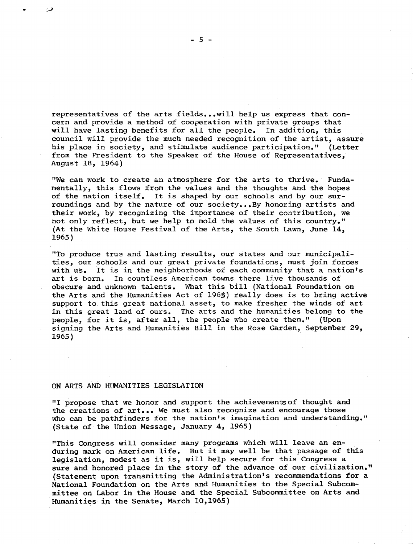representatives of the arts fields...will help us express that concern and provide a method of cooperation with private groups that will have lasting benefits for all the people. In addition, this council will provide the much needed recognition of the artist, assure his place in society, and stimulate audience participation." (Letter from the President to the Speaker of the House of Representatives, August 18, 1964)

"We can work to create an atmosphere for the arts to thrive. Fundamentally, this flows from the values and the thoughts and the hopes of the nation itself. It is shaped by our schools and by our surroundings and by the nature of our society...By honoring artists and their work, by recognizing the importance of their contribution, we not only reflect, but we help to mold the values of this country." (At the White House Festival of the Arts, the South Lawn, June 14, 1965)

"To produce true and lasting results, our states and our municipalities, our schools and our great private foundations, must join forces with us. It is in the neighborhoods of each community that a nation's art is born. In countless American towns there live thousands of In countless American towns there live thousands of obscure and unknown talents. What this bill (National Foundation on the Arts and the Humanities Act of 1965) really does is to bring active support to this great national asset, to make fresher the winds of art in this great land of ours. The arts and the humanities belong to the people. for it is, after all, the people who create them." (Upon people, for it is, after all, the people who create them." signing the Arts and Humanities Bill in the Rose Garden, September 29, 1965)

#### ON ARTS AND HUMANITIES LEGISLATION

"I propose that we honor and support the achievements of thought and the creations of art... We must also recognize and encourage those who can be pathfinders for the nation's imagination and understanding." (State of the Union Message, January 4, 1965)

"This Congress will consider many programs which will leave an enduring mark on American life. But it may well be that passage of this legislation, modest as it is, will help secure for this Congress a sure and honored place in the story of the advance of our civilization." (Statement upon transmitting the Administration's recommendations for a National Foundation on the Arts and Humanities to the Special Subcommittee on Labor in the House and the Special Subcommittee on Arts and Humanities in the Senate, March 10,1965)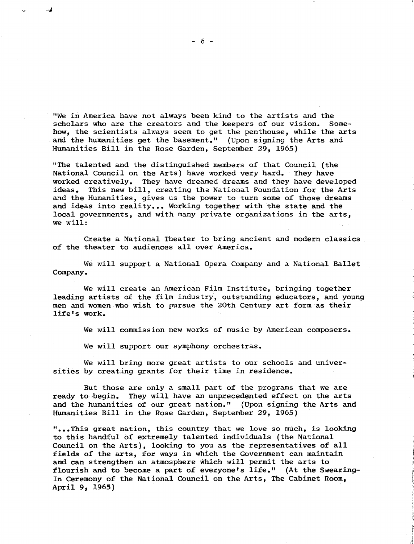"We in America have not always been kind to the artists and the<br>scholars who are the creators and the keepers of our vision. Somescholars who are the creators and the keepers of our vision. how, the scientists always seem to get the penthouse, while the arts and the humanities get the basement." (Upon signing the Arts and Humanities Bill in the Rose Garden, September 29, 1965)

"The talented and the distinguished members 0£ that Council (the National Council on the Arts) have worked very hard. They have worked creatively. They have dreamed dreams and they have developed ideas. This new bill. creating the National Foundation for the Arts This new bill, creating the National Foundation for the Arts and the Humanities, gives us the power to turn some of those dreams and ideas into reality... Working together with the state and the local governments, and with many private organizations in the arts, we will:

Create a National Theater to bring ancient and modern classics of the theater to audiences all over America.

We will support a National Opera Company and a National Ballet Company.

We will create an American Film Institute, bringing together leading artists 0£ the film industry, outstanding educators, and young men and women who wish to pursue the 20th Century art form as their life's work.

We will commission new works of music by American composers.

We will support our symphony orchestras.

We will bring more great artists to our schools and universities by creating grants for their time in residence.

But those are only a small part of the programs that we are ready to begin. They will have an unprecedented effect on the arts and the humanities of our great nation." (Upon signing the Arts and Humanities Bill in the Rose Garden, September 29, 1965)

" ••• This great nation, this country that we love so much, is looking to this handful of extremely talented individuals (the National Council on the Arts), looking to you as the representatives of all fields of the arts, for ways in which the Government can maintain and can strengthen an atmosphere which will permit the arts to flourish and to become a part 0£ everyone's life." (At the Swearing-In Ceremony of the National Council on the Arts, The Cabinet Room, April 9, 1965)